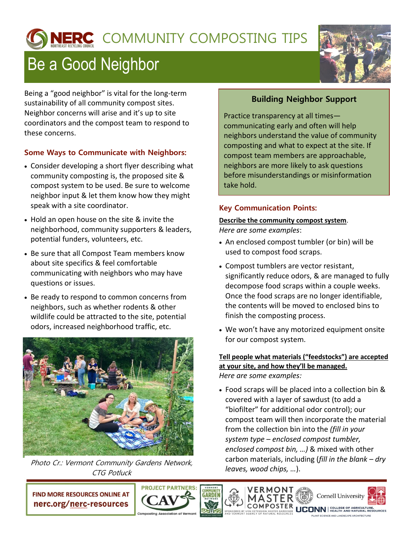# NERC COMMUNITY COMPOSTING TIPS

# Be a Good Neighbor



Being a "good neighbor" is vital for the long-term sustainability of all community compost sites. Neighbor concerns will arise and it's up to site coordinators and the compost team to respond to these concerns.

## **Some Ways to Communicate with Neighbors:**

- Consider developing a short flyer describing what community composting is, the proposed site & compost system to be used. Be sure to welcome neighbor input & let them know how they might speak with a site coordinator.
- Hold an open house on the site & invite the neighborhood, community supporters & leaders, potential funders, volunteers, etc.
- Be sure that all Compost Team members know about site specifics & feel comfortable communicating with neighbors who may have questions or issues.
- Be ready to respond to common concerns from neighbors, such as whether rodents & other wildlife could be attracted to the site, potential odors, increased neighborhood traffic, etc.



Photo Cr.: Vermont Community Gardens Network, CTG Potluck

# **Building Neighbor Support**

Practice transparency at all times communicating early and often will help neighbors understand the value of community composting and what to expect at the site. If compost team members are approachable, neighbors are more likely to ask questions before misunderstandings or misinformation take hold.

## **Key Communication Points:**

#### **Describe the community compost system**.

*Here are some examples*:

- An enclosed compost tumbler (or bin) will be used to compost food scraps.
- Compost tumblers are vector resistant, significantly reduce odors, & are managed to fully decompose food scraps within a couple weeks. Once the food scraps are no longer identifiable, the contents will be moved to enclosed bins to finish the composting process.
- We won't have any motorized equipment onsite for our compost system.

#### **Tell people what materials ("feedstocks") are accepted at your site, and how they'll be managed.** *Here are some examples:*

 Food scraps will be placed into a collection bin & covered with a layer of sawdust (to add a "biofilter" for additional odor control); our compost team will then incorporate the material from the collection bin into the *(fill in your system type – enclosed compost tumbler, enclosed compost bin, …)* & mixed with other carbon materials, including (*fill in the blank – dry leaves, wood chips, …*).

VERMONT





**CONN** EQULEGE OF AGRICULTURE,

**Cornell University**